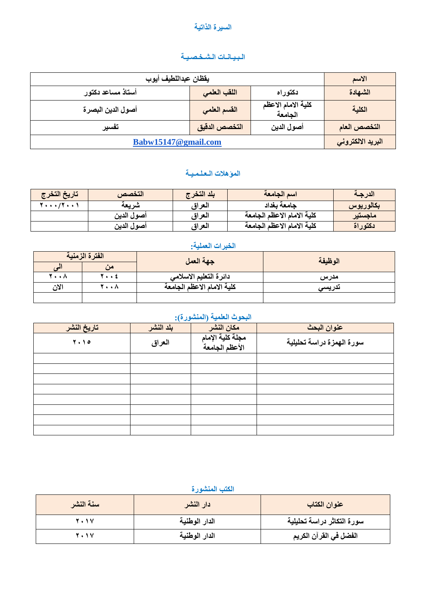#### السيرة الذاتي**ة**

### **انـثـيـاَـاخ انـشـخـصـيـح**

| يقظان عبداللطيف أيوب |               |                               | الاسم             |
|----------------------|---------------|-------------------------------|-------------------|
| أستاذ مساعد دكتور    | اللقب العلمى  | دكتوراه                       | الشهادة           |
| أصول الدين البصرة    | القسم العلمي  | كلية الامام الاعظم<br>الجامعة | الكلية            |
| تفسير                | التخصص الدقيق | أصول الدين                    | التخصص العام      |
| Babw15147@gmail.com  |               |                               | البريد الالكتروني |

# المؤهلات الـعلـمـيــة

| تاريخ التخرج | التخصص     | يلد التخرج | اسم الجامعة                | الدرجة    |
|--------------|------------|------------|----------------------------|-----------|
| し・・・/۲・・۱    | شريعة      | العراق     | جامعة بغداد                | بكالوريوس |
|              | أصول الدين | العراق     | كلية الامام الاعظم الجامعة | ماجستير   |
|              | أصول الدين | العراق     | كلية الامام الاعظم الجامعة | دكتوراة   |

## الخبرات الع*م*لية:

|      | الفترة الزمنية | جهة العمل                  | الوظيفة |  |
|------|----------------|----------------------------|---------|--|
|      | من             |                            |         |  |
| 7 A  | 7 ź            | دائرة التعليم الاسلامي     | مدرس    |  |
| الان | 7 A            | كلية الامام الاعظم الجامعة | ندريسى  |  |
|      |                |                            |         |  |

# البحوث العلمية (المنشورة):

| تاريخ النشر                   | $\sim$<br>بلد النشر | مكان النشر                         | عنوان البحث               |
|-------------------------------|---------------------|------------------------------------|---------------------------|
| $\mathbf{Y} \cdot \mathbf{V}$ | العراق              | مجلة كلية الإمام<br>الأعظم الجامعة | سورة الهمزة دراسة تحليلية |
|                               |                     |                                    |                           |
|                               |                     |                                    |                           |
|                               |                     |                                    |                           |
|                               |                     |                                    |                           |
|                               |                     |                                    |                           |
|                               |                     |                                    |                           |
|                               |                     |                                    |                           |
|                               |                     |                                    |                           |

#### الكتب المنشورة

| سنة النشر      | [دار النشر    | عنوان الكتاب               |
|----------------|---------------|----------------------------|
| <b>Y . 1 V</b> | الدار الوطنية | سورة التكاثر دراسة تحليلية |
| 7 . 1 V        | الدار الوطنية | الفضل في القرآن الكريم     |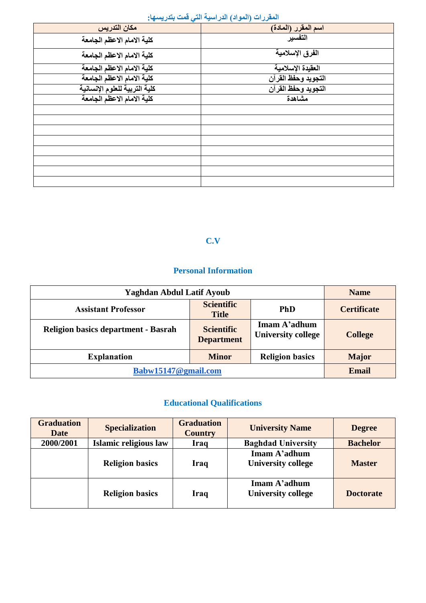|                               | المعرزات (المواتر) الدرامية التي تمت بتدريمية. |
|-------------------------------|------------------------------------------------|
| مكان التدريس                  | اسم المقرر (المادة)                            |
| كلية الامام الاعظم الجامعة    | التفسير                                        |
| كلية الامام الاعظم الجامعة    | الفرق الإسلامية                                |
| كلية الامام الاعظم الجامعة    | العقيدة الإسلامية                              |
| كلية الامام الاعظم الجامعة    | التجويد وحفظ القرآن                            |
| كلية التربية للعلوم الإنسانية | التجويد وحفظ القرآن                            |
| كلية الامام الاعظم الجامعة    | مشاهدة                                         |
|                               |                                                |
|                               |                                                |
|                               |                                                |
|                               |                                                |
|                               |                                                |
|                               |                                                |
|                               |                                                |
|                               |                                                |

## **انًمشساخ )انًىاد( انذساصيح انري لًد ترذسيضها:**

# **C.V**

# **Personal Information**

| <b>Yaghdan Abdul Latif Ayoub</b>                             |                                        |                                           | <b>Name</b>        |
|--------------------------------------------------------------|----------------------------------------|-------------------------------------------|--------------------|
| <b>Assistant Professor</b>                                   | <b>Scientific</b><br><b>Title</b>      | <b>PhD</b>                                | <b>Certificate</b> |
| <b>Religion basics department - Basrah</b>                   | <b>Scientific</b><br><b>Department</b> | Imam A'adhum<br><b>University college</b> | <b>College</b>     |
| <b>Religion basics</b><br><b>Explanation</b><br><b>Minor</b> |                                        |                                           | <b>Major</b>       |
| Babw15147@gmail.com                                          |                                        |                                           | <b>Email</b>       |

# **Educational Qualifications**

| <b>Graduation</b><br><b>Date</b> | <b>Specialization</b>  | <b>Graduation</b><br><b>Country</b> | <b>University Name</b>                    | <b>Degree</b>    |
|----------------------------------|------------------------|-------------------------------------|-------------------------------------------|------------------|
| 2000/2001                        | Islamic religious law  | Iraq                                | <b>Baghdad University</b>                 | <b>Bachelor</b>  |
|                                  | <b>Religion basics</b> | Iraq                                | Imam A'adhum<br><b>University college</b> | <b>Master</b>    |
|                                  | <b>Religion basics</b> | Iraq                                | Imam A'adhum<br><b>University college</b> | <b>Doctorate</b> |